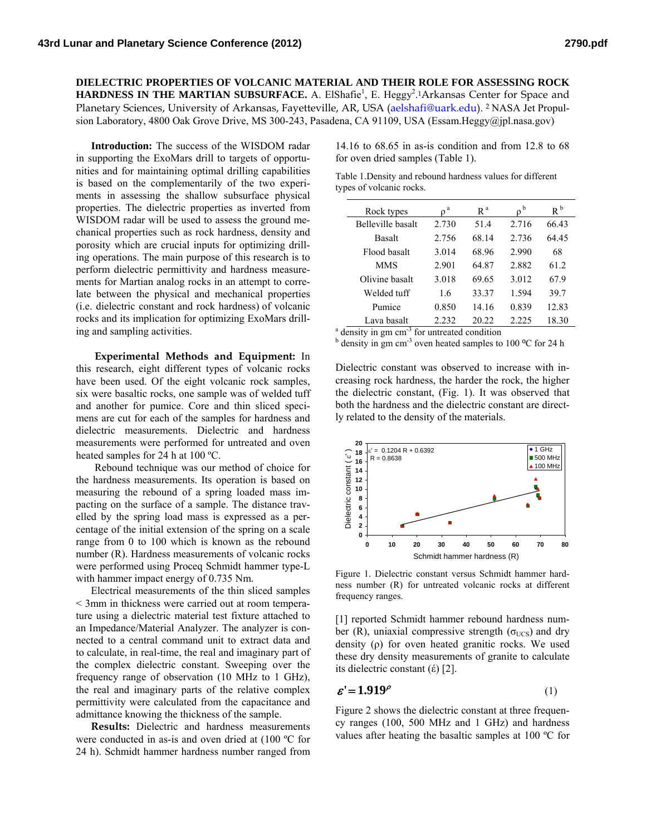**DIELECTRIC PROPERTIES OF VOLCANIC MATERIAL AND THEIR ROLE FOR ASSESSING ROCK**  HARDNESS IN THE MARTIAN SUBSURFACE. A. ElShafie<sup>1</sup>, E. Heggy<sup>2</sup>.<sup>1</sup>Arkansas Center for Space and Planetary Sciences, University of Arkansas, Fayetteville, AR, USA (aelshafi@uark.edu). 2 NASA Jet Propulsion Laboratory, 4800 Oak Grove Drive, MS 300-243, Pasadena, CA 91109, USA (Essam.Heggy@jpl.nasa.gov)

**Introduction:** The success of the WISDOM radar in supporting the ExoMars drill to targets of opportunities and for maintaining optimal drilling capabilities is based on the complementarily of the two experiments in assessing the shallow subsurface physical properties. The dielectric properties as inverted from WISDOM radar will be used to assess the ground mechanical properties such as rock hardness, density and porosity which are crucial inputs for optimizing drilling operations. The main purpose of this research is to perform dielectric permittivity and hardness measurements for Martian analog rocks in an attempt to correlate between the physical and mechanical properties (i.e. dielectric constant and rock hardness) of volcanic rocks and its implication for optimizing ExoMars drilling and sampling activities.

**Experimental Methods and Equipment:** In this research, eight different types of volcanic rocks have been used. Of the eight volcanic rock samples, six were basaltic rocks, one sample was of welded tuff and another for pumice. Core and thin sliced specimens are cut for each of the samples for hardness and dielectric measurements. Dielectric and hardness measurements were performed for untreated and oven heated samples for 24 h at 100 ºC.

Rebound technique was our method of choice for the hardness measurements. Its operation is based on measuring the rebound of a spring loaded mass impacting on the surface of a sample. The distance travelled by the spring load mass is expressed as a percentage of the initial extension of the spring on a scale range from 0 to 100 which is known as the rebound number (R). Hardness measurements of volcanic rocks were performed using Proceq Schmidt hammer type-L with hammer impact energy of 0.735 Nm.

Electrical measurements of the thin sliced samples < 3mm in thickness were carried out at room temperature using a dielectric material test fixture attached to an Impedance/Material Analyzer. The analyzer is connected to a central command unit to extract data and to calculate, in real-time, the real and imaginary part of the complex dielectric constant. Sweeping over the frequency range of observation (10 MHz to 1 GHz), the real and imaginary parts of the relative complex permittivity were calculated from the capacitance and admittance knowing the thickness of the sample.

**Results:** Dielectric and hardness measurements were conducted in as-is and oven dried at (100 ºC for 24 h). Schmidt hammer hardness number ranged from

14.16 to 68.65 in as-is condition and from 12.8 to 68 for oven dried samples (Table 1).

| Table 1. Density and rebound hardness values for different |  |  |  |
|------------------------------------------------------------|--|--|--|
| types of volcanic rocks.                                   |  |  |  |

| Rock types        | a<br>n | R <sup>a</sup> | b     | $R^b$ |
|-------------------|--------|----------------|-------|-------|
| Belleville basalt | 2.730  | 51.4           | 2.716 | 66.43 |
| Basalt            | 2.756  | 68.14          | 2.736 | 64 45 |
| Flood basalt      | 3.014  | 68.96          | 2.990 | 68    |
| <b>MMS</b>        | 2.901  | 64.87          | 2.882 | 61 2  |
| Olivine basalt    | 3.018  | 69.65          | 3.012 | 67.9  |
| Welded tuff       | 1.6    | 33.37          | 1.594 | 39.7  |
| Pumice            | 0.850  | 14 16          | 0.839 | 12.83 |
| Lava basalt       | 2.232  | 20.22          | 2.225 | 18.30 |

 $^{\circ}$  density in gm cm<sup>-3</sup> for untreated condition b done<br> $^{\circ}$  density in am am<sup>-3</sup> even boated samples to

 $<sup>b</sup>$  density in gm cm<sup>-3</sup> oven heated samples to 100 °C for 24 h</sup>

Dielectric constant was observed to increase with increasing rock hardness, the harder the rock, the higher the dielectric constant, (Fig. 1). It was observed that both the hardness and the dielectric constant are directly related to the density of the materials.



Figure 1. Dielectric constant versus Schmidt hammer hardness number (R) for untreated volcanic rocks at different frequency ranges.

[1] reported Schmidt hammer rebound hardness number (R), uniaxial compressive strength ( $\sigma$ <sub>UCS</sub>) and dry density (ρ) for oven heated granitic rocks. We used these dry density measurements of granite to calculate its dielectric constant  $(\epsilon)$  [2].

$$
\varepsilon' = 1.919^{\rho} \tag{1}
$$

Figure 2 shows the dielectric constant at three frequency ranges (100, 500 MHz and 1 GHz) and hardness values after heating the basaltic samples at 100 ºC for